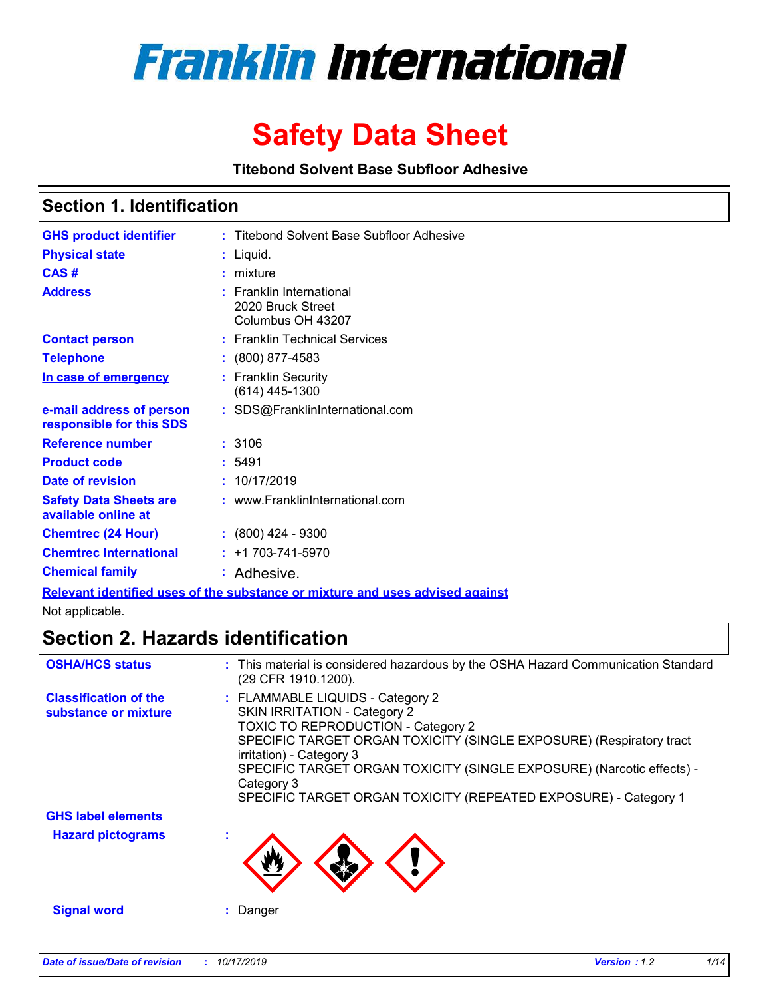

# **Safety Data Sheet**

**Titebond Solvent Base Subfloor Adhesive**

### **Section 1. Identification**

| <b>GHS product identifier</b>                                                  |  | : Titebond Solvent Base Subfloor Adhesive                          |  |
|--------------------------------------------------------------------------------|--|--------------------------------------------------------------------|--|
| <b>Physical state</b>                                                          |  | $:$ Liquid.                                                        |  |
| CAS#                                                                           |  | $:$ mixture                                                        |  |
| <b>Address</b>                                                                 |  | : Franklin International<br>2020 Bruck Street<br>Columbus OH 43207 |  |
| <b>Contact person</b>                                                          |  | : Franklin Technical Services                                      |  |
| <b>Telephone</b>                                                               |  | $: (800) 877 - 4583$                                               |  |
| In case of emergency                                                           |  | : Franklin Security<br>$(614)$ 445-1300                            |  |
| e-mail address of person<br>responsible for this SDS                           |  | : SDS@FranklinInternational.com                                    |  |
| <b>Reference number</b>                                                        |  | :3106                                                              |  |
| <b>Product code</b>                                                            |  | : 5491                                                             |  |
| Date of revision                                                               |  | : 10/17/2019                                                       |  |
| <b>Safety Data Sheets are</b><br>available online at                           |  | : www.FranklinInternational.com                                    |  |
| <b>Chemtrec (24 Hour)</b>                                                      |  | $: (800)$ 424 - 9300                                               |  |
| <b>Chemtrec International</b>                                                  |  | $: +1703 - 741 - 5970$                                             |  |
| <b>Chemical family</b>                                                         |  | : Adhesive.                                                        |  |
| Pelevant identified uses of the substance or mixture and uses advised excinct. |  |                                                                    |  |

**Relevant identified uses of the substance or mixture and uses advised against**

Not applicable.

# **Section 2. Hazards identification**

| <b>OSHA/HCS status</b>                               | : This material is considered hazardous by the OSHA Hazard Communication Standard<br>(29 CFR 1910.1200).                                                                                                                                                                                                                                                                          |
|------------------------------------------------------|-----------------------------------------------------------------------------------------------------------------------------------------------------------------------------------------------------------------------------------------------------------------------------------------------------------------------------------------------------------------------------------|
| <b>Classification of the</b><br>substance or mixture | : FLAMMABLE LIQUIDS - Category 2<br><b>SKIN IRRITATION - Category 2</b><br><b>TOXIC TO REPRODUCTION - Category 2</b><br>SPECIFIC TARGET ORGAN TOXICITY (SINGLE EXPOSURE) (Respiratory tract<br>irritation) - Category 3<br>SPECIFIC TARGET ORGAN TOXICITY (SINGLE EXPOSURE) (Narcotic effects) -<br>Category 3<br>SPECIFIC TARGET ORGAN TOXICITY (REPEATED EXPOSURE) - Category 1 |
| <b>GHS label elements</b>                            |                                                                                                                                                                                                                                                                                                                                                                                   |
| <b>Hazard pictograms</b>                             | $\mathbf{r}$                                                                                                                                                                                                                                                                                                                                                                      |
| <b>Signal word</b>                                   | Danger                                                                                                                                                                                                                                                                                                                                                                            |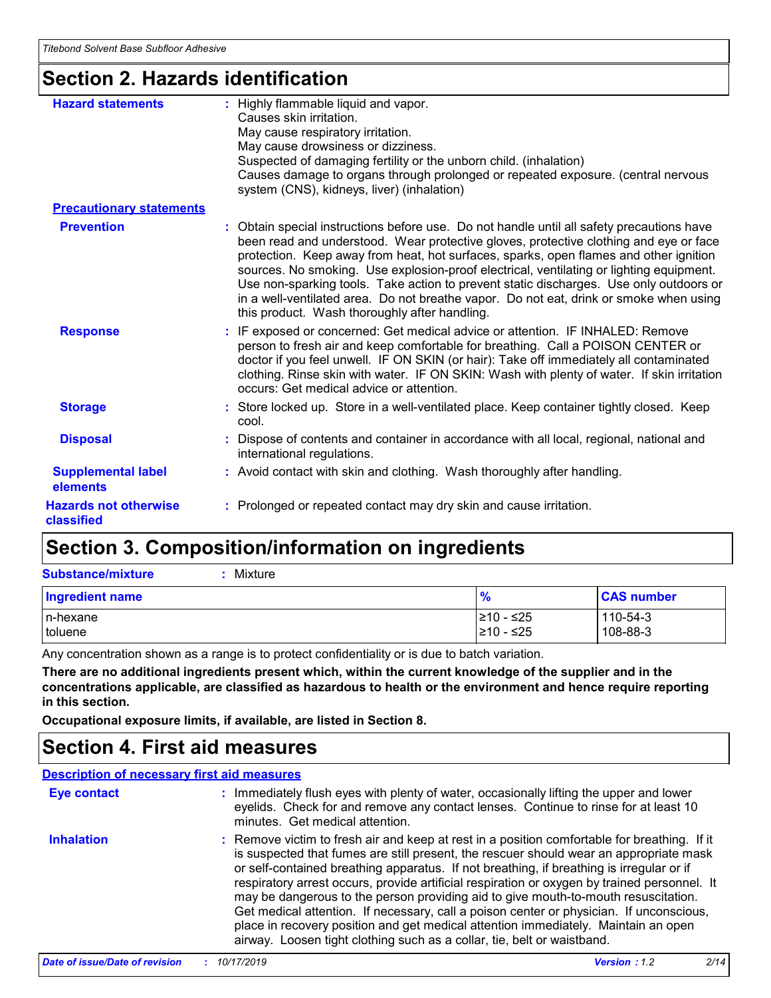# **Section 2. Hazards identification**

| <b>Hazard statements</b>                   | : Highly flammable liquid and vapor.<br>Causes skin irritation.<br>May cause respiratory irritation.<br>May cause drowsiness or dizziness.<br>Suspected of damaging fertility or the unborn child. (inhalation)<br>Causes damage to organs through prolonged or repeated exposure. (central nervous<br>system (CNS), kidneys, liver) (inhalation)                                                                                                                                                                                                                                                           |
|--------------------------------------------|-------------------------------------------------------------------------------------------------------------------------------------------------------------------------------------------------------------------------------------------------------------------------------------------------------------------------------------------------------------------------------------------------------------------------------------------------------------------------------------------------------------------------------------------------------------------------------------------------------------|
| <b>Precautionary statements</b>            |                                                                                                                                                                                                                                                                                                                                                                                                                                                                                                                                                                                                             |
| <b>Prevention</b>                          | : Obtain special instructions before use. Do not handle until all safety precautions have<br>been read and understood. Wear protective gloves, protective clothing and eye or face<br>protection. Keep away from heat, hot surfaces, sparks, open flames and other ignition<br>sources. No smoking. Use explosion-proof electrical, ventilating or lighting equipment.<br>Use non-sparking tools. Take action to prevent static discharges. Use only outdoors or<br>in a well-ventilated area. Do not breathe vapor. Do not eat, drink or smoke when using<br>this product. Wash thoroughly after handling. |
| <b>Response</b>                            | : IF exposed or concerned: Get medical advice or attention. IF INHALED: Remove<br>person to fresh air and keep comfortable for breathing. Call a POISON CENTER or<br>doctor if you feel unwell. IF ON SKIN (or hair): Take off immediately all contaminated<br>clothing. Rinse skin with water. IF ON SKIN: Wash with plenty of water. If skin irritation<br>occurs: Get medical advice or attention.                                                                                                                                                                                                       |
| <b>Storage</b>                             | : Store locked up. Store in a well-ventilated place. Keep container tightly closed. Keep<br>cool.                                                                                                                                                                                                                                                                                                                                                                                                                                                                                                           |
| <b>Disposal</b>                            | : Dispose of contents and container in accordance with all local, regional, national and<br>international regulations.                                                                                                                                                                                                                                                                                                                                                                                                                                                                                      |
| <b>Supplemental label</b><br>elements      | : Avoid contact with skin and clothing. Wash thoroughly after handling.                                                                                                                                                                                                                                                                                                                                                                                                                                                                                                                                     |
| <b>Hazards not otherwise</b><br>classified | : Prolonged or repeated contact may dry skin and cause irritation.                                                                                                                                                                                                                                                                                                                                                                                                                                                                                                                                          |

# **Section 3. Composition/information on ingredients**

| <b>Substance/mixture</b> | : Mixture |
|--------------------------|-----------|
|                          |           |

| Mixture |
|---------|
|---------|

| <b>Ingredient name</b> | 70         | <b>CAS number</b> |
|------------------------|------------|-------------------|
| In-hexane              | l≥10 - ≤25 | 110-54-3          |
| toluene                | l≥10 - ≤25 | 108-88-3          |

Any concentration shown as a range is to protect confidentiality or is due to batch variation.

**There are no additional ingredients present which, within the current knowledge of the supplier and in the concentrations applicable, are classified as hazardous to health or the environment and hence require reporting in this section.**

**Occupational exposure limits, if available, are listed in Section 8.**

### **Section 4. First aid measures**

#### **Description of necessary first aid measures**

| <b>Eye contact</b> | : Immediately flush eyes with plenty of water, occasionally lifting the upper and lower<br>eyelids. Check for and remove any contact lenses. Continue to rinse for at least 10<br>minutes. Get medical attention.                                                                                                                                                                                                                                                                                                                                                                                                                                                                                                                    |
|--------------------|--------------------------------------------------------------------------------------------------------------------------------------------------------------------------------------------------------------------------------------------------------------------------------------------------------------------------------------------------------------------------------------------------------------------------------------------------------------------------------------------------------------------------------------------------------------------------------------------------------------------------------------------------------------------------------------------------------------------------------------|
| <b>Inhalation</b>  | : Remove victim to fresh air and keep at rest in a position comfortable for breathing. If it<br>is suspected that fumes are still present, the rescuer should wear an appropriate mask<br>or self-contained breathing apparatus. If not breathing, if breathing is irregular or if<br>respiratory arrest occurs, provide artificial respiration or oxygen by trained personnel. It<br>may be dangerous to the person providing aid to give mouth-to-mouth resuscitation.<br>Get medical attention. If necessary, call a poison center or physician. If unconscious,<br>place in recovery position and get medical attention immediately. Maintain an open<br>airway. Loosen tight clothing such as a collar, tie, belt or waistband. |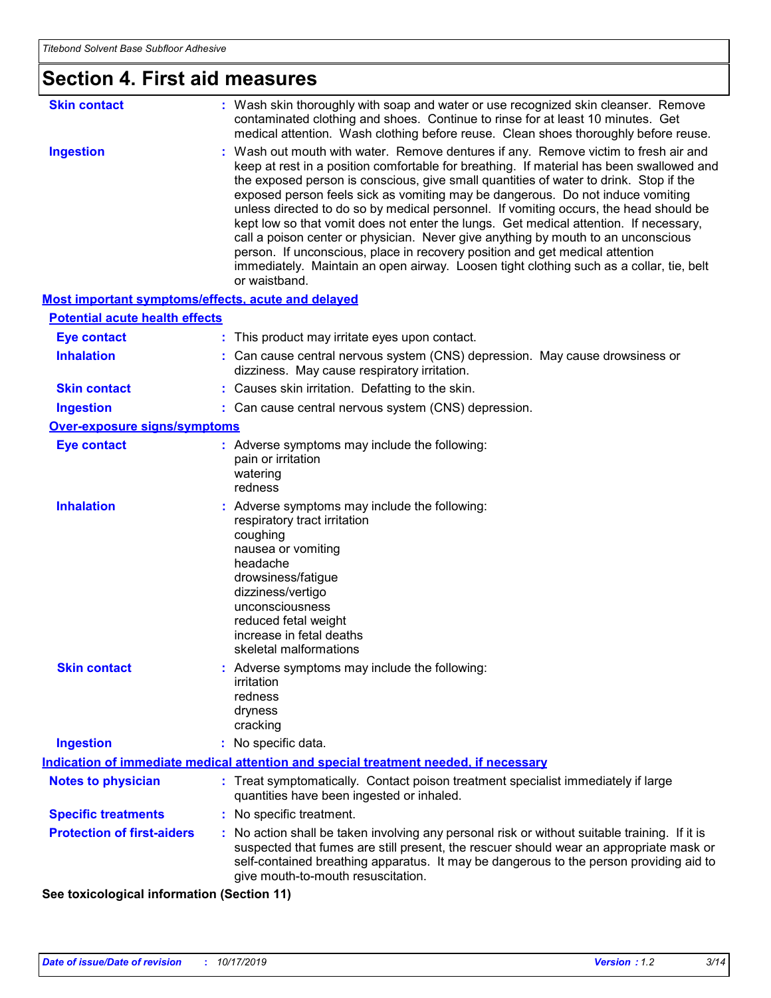| <b>Section 4. First aid measures</b>               |                                                                                                                                                                                                                                                                                                                                                                                                                                                                                                                                                                                                                                                                                                                                                                                                                               |  |
|----------------------------------------------------|-------------------------------------------------------------------------------------------------------------------------------------------------------------------------------------------------------------------------------------------------------------------------------------------------------------------------------------------------------------------------------------------------------------------------------------------------------------------------------------------------------------------------------------------------------------------------------------------------------------------------------------------------------------------------------------------------------------------------------------------------------------------------------------------------------------------------------|--|
| <b>Skin contact</b>                                | : Wash skin thoroughly with soap and water or use recognized skin cleanser. Remove<br>contaminated clothing and shoes. Continue to rinse for at least 10 minutes. Get<br>medical attention. Wash clothing before reuse. Clean shoes thoroughly before reuse.                                                                                                                                                                                                                                                                                                                                                                                                                                                                                                                                                                  |  |
| <b>Ingestion</b>                                   | : Wash out mouth with water. Remove dentures if any. Remove victim to fresh air and<br>keep at rest in a position comfortable for breathing. If material has been swallowed and<br>the exposed person is conscious, give small quantities of water to drink. Stop if the<br>exposed person feels sick as vomiting may be dangerous. Do not induce vomiting<br>unless directed to do so by medical personnel. If vomiting occurs, the head should be<br>kept low so that vomit does not enter the lungs. Get medical attention. If necessary,<br>call a poison center or physician. Never give anything by mouth to an unconscious<br>person. If unconscious, place in recovery position and get medical attention<br>immediately. Maintain an open airway. Loosen tight clothing such as a collar, tie, belt<br>or waistband. |  |
| Most important symptoms/effects, acute and delayed |                                                                                                                                                                                                                                                                                                                                                                                                                                                                                                                                                                                                                                                                                                                                                                                                                               |  |
| <b>Potential acute health effects</b>              |                                                                                                                                                                                                                                                                                                                                                                                                                                                                                                                                                                                                                                                                                                                                                                                                                               |  |
| <b>Eye contact</b>                                 | : This product may irritate eyes upon contact.                                                                                                                                                                                                                                                                                                                                                                                                                                                                                                                                                                                                                                                                                                                                                                                |  |
| <b>Inhalation</b>                                  | : Can cause central nervous system (CNS) depression. May cause drowsiness or<br>dizziness. May cause respiratory irritation.                                                                                                                                                                                                                                                                                                                                                                                                                                                                                                                                                                                                                                                                                                  |  |
| <b>Skin contact</b>                                | : Causes skin irritation. Defatting to the skin.                                                                                                                                                                                                                                                                                                                                                                                                                                                                                                                                                                                                                                                                                                                                                                              |  |
| <b>Ingestion</b>                                   | : Can cause central nervous system (CNS) depression.                                                                                                                                                                                                                                                                                                                                                                                                                                                                                                                                                                                                                                                                                                                                                                          |  |
| <b>Over-exposure signs/symptoms</b>                |                                                                                                                                                                                                                                                                                                                                                                                                                                                                                                                                                                                                                                                                                                                                                                                                                               |  |
| <b>Eye contact</b>                                 | : Adverse symptoms may include the following:<br>pain or irritation<br>watering<br>redness                                                                                                                                                                                                                                                                                                                                                                                                                                                                                                                                                                                                                                                                                                                                    |  |
| <b>Inhalation</b>                                  | : Adverse symptoms may include the following:<br>respiratory tract irritation<br>coughing<br>nausea or vomiting<br>headache<br>drowsiness/fatigue<br>dizziness/vertigo<br>unconsciousness<br>reduced fetal weight<br>increase in fetal deaths<br>skeletal malformations                                                                                                                                                                                                                                                                                                                                                                                                                                                                                                                                                       |  |
| <b>Skin contact</b>                                | : Adverse symptoms may include the following:<br>irritation<br>redness<br>dryness<br>cracking                                                                                                                                                                                                                                                                                                                                                                                                                                                                                                                                                                                                                                                                                                                                 |  |
| <b>Ingestion</b>                                   | : No specific data.                                                                                                                                                                                                                                                                                                                                                                                                                                                                                                                                                                                                                                                                                                                                                                                                           |  |
|                                                    | Indication of immediate medical attention and special treatment needed, if necessary                                                                                                                                                                                                                                                                                                                                                                                                                                                                                                                                                                                                                                                                                                                                          |  |
| <b>Notes to physician</b>                          | : Treat symptomatically. Contact poison treatment specialist immediately if large<br>quantities have been ingested or inhaled.                                                                                                                                                                                                                                                                                                                                                                                                                                                                                                                                                                                                                                                                                                |  |
| <b>Specific treatments</b>                         | : No specific treatment.                                                                                                                                                                                                                                                                                                                                                                                                                                                                                                                                                                                                                                                                                                                                                                                                      |  |
| <b>Protection of first-aiders</b>                  | : No action shall be taken involving any personal risk or without suitable training. If it is<br>suspected that fumes are still present, the rescuer should wear an appropriate mask or<br>self-contained breathing apparatus. It may be dangerous to the person providing aid to<br>give mouth-to-mouth resuscitation.                                                                                                                                                                                                                                                                                                                                                                                                                                                                                                       |  |

**See toxicological information (Section 11)**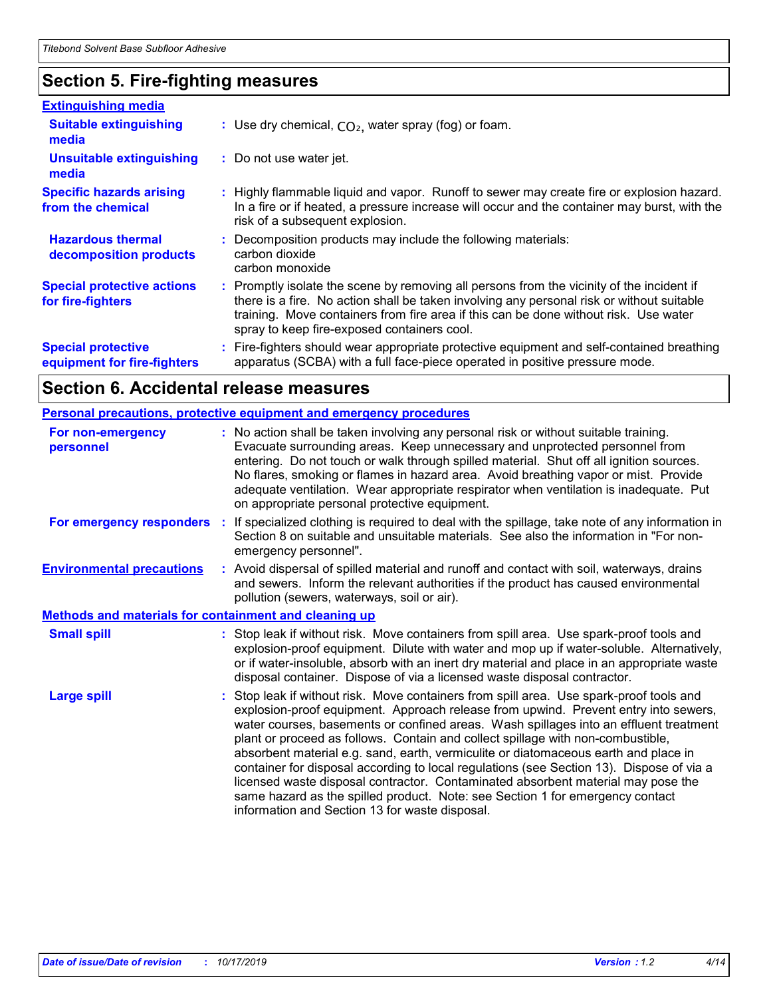### **Section 5. Fire-fighting measures**

| <b>Extinguishing media</b>                               |                                                                                                                                                                                                                                                                                                                               |  |
|----------------------------------------------------------|-------------------------------------------------------------------------------------------------------------------------------------------------------------------------------------------------------------------------------------------------------------------------------------------------------------------------------|--|
| <b>Suitable extinguishing</b><br>media                   | : Use dry chemical, $CO2$ , water spray (fog) or foam.                                                                                                                                                                                                                                                                        |  |
| <b>Unsuitable extinguishing</b><br>media                 | : Do not use water jet.                                                                                                                                                                                                                                                                                                       |  |
| <b>Specific hazards arising</b><br>from the chemical     | : Highly flammable liquid and vapor. Runoff to sewer may create fire or explosion hazard.<br>In a fire or if heated, a pressure increase will occur and the container may burst, with the<br>risk of a subsequent explosion.                                                                                                  |  |
| <b>Hazardous thermal</b><br>decomposition products       | : Decomposition products may include the following materials:<br>carbon dioxide<br>carbon monoxide                                                                                                                                                                                                                            |  |
| <b>Special protective actions</b><br>for fire-fighters   | : Promptly isolate the scene by removing all persons from the vicinity of the incident if<br>there is a fire. No action shall be taken involving any personal risk or without suitable<br>training. Move containers from fire area if this can be done without risk. Use water<br>spray to keep fire-exposed containers cool. |  |
| <b>Special protective</b><br>equipment for fire-fighters | Fire-fighters should wear appropriate protective equipment and self-contained breathing<br>apparatus (SCBA) with a full face-piece operated in positive pressure mode.                                                                                                                                                        |  |

### **Section 6. Accidental release measures**

|                                                              | <b>Personal precautions, protective equipment and emergency procedures</b>                                                                                                                                                                                                                                                                                                                                                                                                                                                                                                                                                                                                                                                                                         |  |
|--------------------------------------------------------------|--------------------------------------------------------------------------------------------------------------------------------------------------------------------------------------------------------------------------------------------------------------------------------------------------------------------------------------------------------------------------------------------------------------------------------------------------------------------------------------------------------------------------------------------------------------------------------------------------------------------------------------------------------------------------------------------------------------------------------------------------------------------|--|
| For non-emergency<br>personnel                               | : No action shall be taken involving any personal risk or without suitable training.<br>Evacuate surrounding areas. Keep unnecessary and unprotected personnel from<br>entering. Do not touch or walk through spilled material. Shut off all ignition sources.<br>No flares, smoking or flames in hazard area. Avoid breathing vapor or mist. Provide<br>adequate ventilation. Wear appropriate respirator when ventilation is inadequate. Put<br>on appropriate personal protective equipment.                                                                                                                                                                                                                                                                    |  |
| For emergency responders                                     | : If specialized clothing is required to deal with the spillage, take note of any information in<br>Section 8 on suitable and unsuitable materials. See also the information in "For non-<br>emergency personnel".                                                                                                                                                                                                                                                                                                                                                                                                                                                                                                                                                 |  |
| <b>Environmental precautions</b>                             | : Avoid dispersal of spilled material and runoff and contact with soil, waterways, drains<br>and sewers. Inform the relevant authorities if the product has caused environmental<br>pollution (sewers, waterways, soil or air).                                                                                                                                                                                                                                                                                                                                                                                                                                                                                                                                    |  |
| <b>Methods and materials for containment and cleaning up</b> |                                                                                                                                                                                                                                                                                                                                                                                                                                                                                                                                                                                                                                                                                                                                                                    |  |
| <b>Small spill</b>                                           | : Stop leak if without risk. Move containers from spill area. Use spark-proof tools and<br>explosion-proof equipment. Dilute with water and mop up if water-soluble. Alternatively,<br>or if water-insoluble, absorb with an inert dry material and place in an appropriate waste<br>disposal container. Dispose of via a licensed waste disposal contractor.                                                                                                                                                                                                                                                                                                                                                                                                      |  |
| <b>Large spill</b>                                           | Stop leak if without risk. Move containers from spill area. Use spark-proof tools and<br>explosion-proof equipment. Approach release from upwind. Prevent entry into sewers,<br>water courses, basements or confined areas. Wash spillages into an effluent treatment<br>plant or proceed as follows. Contain and collect spillage with non-combustible,<br>absorbent material e.g. sand, earth, vermiculite or diatomaceous earth and place in<br>container for disposal according to local regulations (see Section 13). Dispose of via a<br>licensed waste disposal contractor. Contaminated absorbent material may pose the<br>same hazard as the spilled product. Note: see Section 1 for emergency contact<br>information and Section 13 for waste disposal. |  |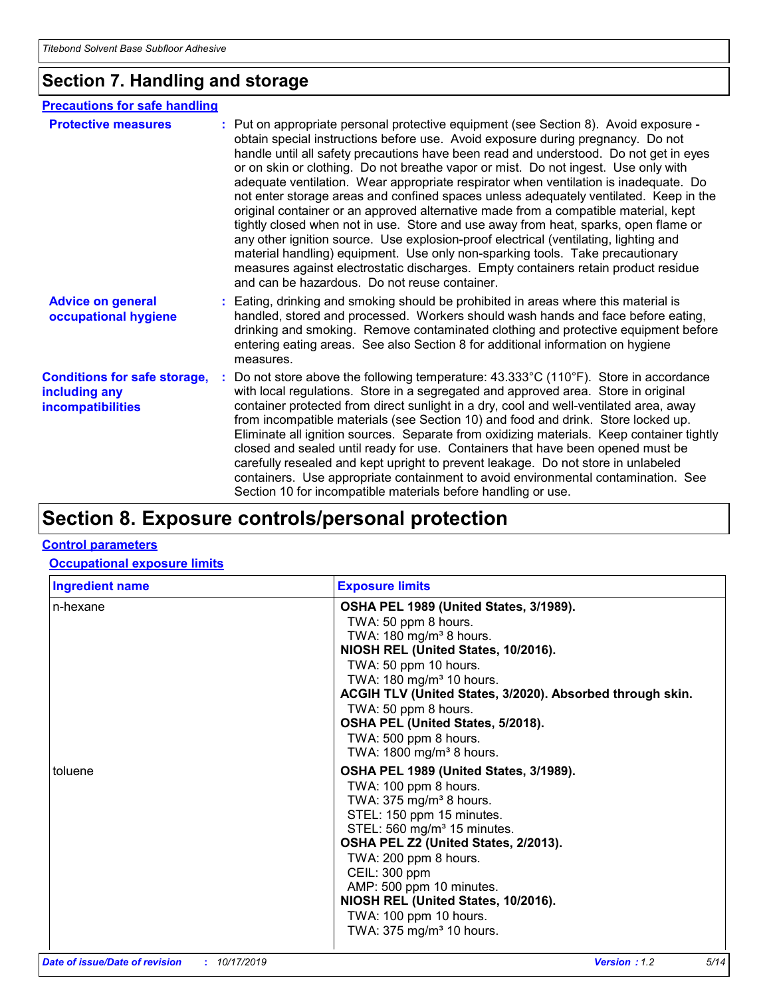### **Section 7. Handling and storage**

#### **Precautions for safe handling**

| <b>Protective measures</b>                                                       | : Put on appropriate personal protective equipment (see Section 8). Avoid exposure -<br>obtain special instructions before use. Avoid exposure during pregnancy. Do not<br>handle until all safety precautions have been read and understood. Do not get in eyes<br>or on skin or clothing. Do not breathe vapor or mist. Do not ingest. Use only with<br>adequate ventilation. Wear appropriate respirator when ventilation is inadequate. Do<br>not enter storage areas and confined spaces unless adequately ventilated. Keep in the<br>original container or an approved alternative made from a compatible material, kept<br>tightly closed when not in use. Store and use away from heat, sparks, open flame or<br>any other ignition source. Use explosion-proof electrical (ventilating, lighting and<br>material handling) equipment. Use only non-sparking tools. Take precautionary<br>measures against electrostatic discharges. Empty containers retain product residue<br>and can be hazardous. Do not reuse container. |
|----------------------------------------------------------------------------------|---------------------------------------------------------------------------------------------------------------------------------------------------------------------------------------------------------------------------------------------------------------------------------------------------------------------------------------------------------------------------------------------------------------------------------------------------------------------------------------------------------------------------------------------------------------------------------------------------------------------------------------------------------------------------------------------------------------------------------------------------------------------------------------------------------------------------------------------------------------------------------------------------------------------------------------------------------------------------------------------------------------------------------------|
| <b>Advice on general</b><br>occupational hygiene                                 | : Eating, drinking and smoking should be prohibited in areas where this material is<br>handled, stored and processed. Workers should wash hands and face before eating,<br>drinking and smoking. Remove contaminated clothing and protective equipment before<br>entering eating areas. See also Section 8 for additional information on hygiene<br>measures.                                                                                                                                                                                                                                                                                                                                                                                                                                                                                                                                                                                                                                                                         |
| <b>Conditions for safe storage,</b><br>including any<br><b>incompatibilities</b> | : Do not store above the following temperature: $43.333^{\circ}$ C (110°F). Store in accordance<br>with local regulations. Store in a segregated and approved area. Store in original<br>container protected from direct sunlight in a dry, cool and well-ventilated area, away<br>from incompatible materials (see Section 10) and food and drink. Store locked up.<br>Eliminate all ignition sources. Separate from oxidizing materials. Keep container tightly<br>closed and sealed until ready for use. Containers that have been opened must be<br>carefully resealed and kept upright to prevent leakage. Do not store in unlabeled<br>containers. Use appropriate containment to avoid environmental contamination. See<br>Section 10 for incompatible materials before handling or use.                                                                                                                                                                                                                                       |

# **Section 8. Exposure controls/personal protection**

#### **Control parameters**

#### **Occupational exposure limits**

| <b>Ingredient name</b> | <b>Exposure limits</b>                                                                                                                                                                                                                                                                                                                                                                                  |
|------------------------|---------------------------------------------------------------------------------------------------------------------------------------------------------------------------------------------------------------------------------------------------------------------------------------------------------------------------------------------------------------------------------------------------------|
| n-hexane               | OSHA PEL 1989 (United States, 3/1989).<br>TWA: 50 ppm 8 hours.<br>TWA: $180 \text{ mg/m}^3$ 8 hours.<br>NIOSH REL (United States, 10/2016).<br>TWA: 50 ppm 10 hours.<br>TWA: 180 mg/m <sup>3</sup> 10 hours.<br>ACGIH TLV (United States, 3/2020). Absorbed through skin.<br>TWA: 50 ppm 8 hours.<br>OSHA PEL (United States, 5/2018).<br>TWA: 500 ppm 8 hours.<br>TWA: 1800 mg/m <sup>3</sup> 8 hours. |
| toluene                | OSHA PEL 1989 (United States, 3/1989).<br>TWA: 100 ppm 8 hours.<br>TWA: $375$ mg/m <sup>3</sup> 8 hours.<br>STEL: 150 ppm 15 minutes.<br>STEL: 560 mg/m <sup>3</sup> 15 minutes.<br>OSHA PEL Z2 (United States, 2/2013).<br>TWA: 200 ppm 8 hours.<br>CEIL: 300 ppm<br>AMP: 500 ppm 10 minutes.<br>NIOSH REL (United States, 10/2016).<br>TWA: 100 ppm 10 hours.<br>TWA: 375 mg/m <sup>3</sup> 10 hours. |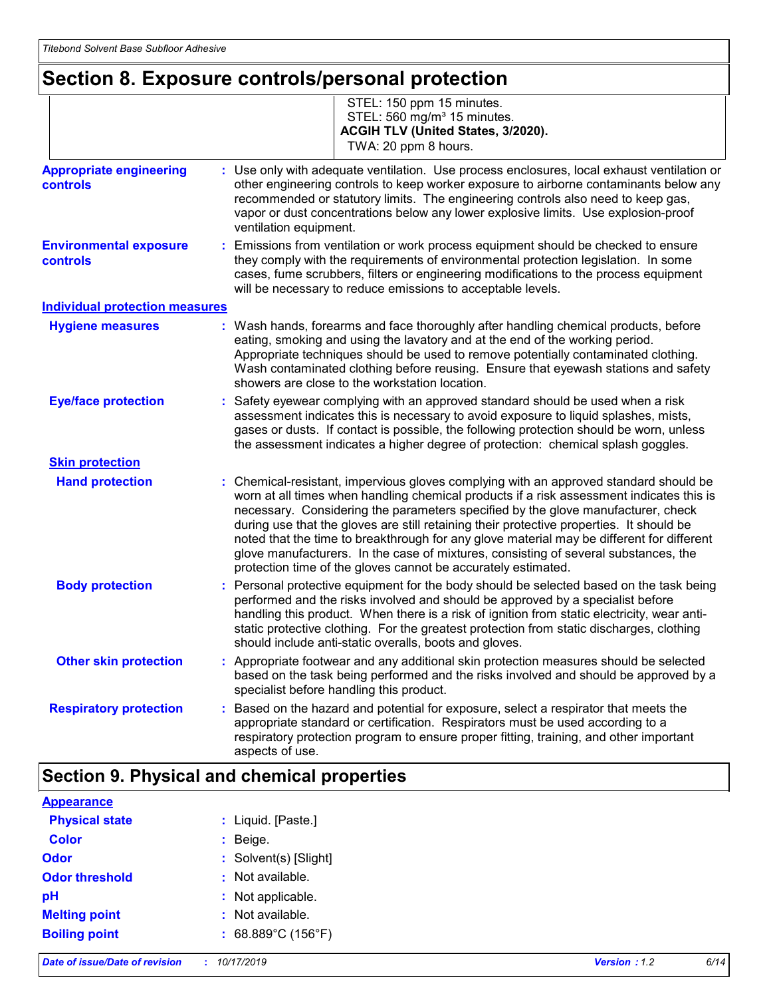# **Section 8. Exposure controls/personal protection**

|                                                   | STEL: 150 ppm 15 minutes.<br>STEL: 560 mg/m <sup>3</sup> 15 minutes.<br>ACGIH TLV (United States, 3/2020).<br>TWA: 20 ppm 8 hours.                                                                                                                                                                                                                                                                                                                                                                                                                                                                                   |  |  |  |
|---------------------------------------------------|----------------------------------------------------------------------------------------------------------------------------------------------------------------------------------------------------------------------------------------------------------------------------------------------------------------------------------------------------------------------------------------------------------------------------------------------------------------------------------------------------------------------------------------------------------------------------------------------------------------------|--|--|--|
| <b>Appropriate engineering</b><br><b>controls</b> | : Use only with adequate ventilation. Use process enclosures, local exhaust ventilation or<br>other engineering controls to keep worker exposure to airborne contaminants below any<br>recommended or statutory limits. The engineering controls also need to keep gas,<br>vapor or dust concentrations below any lower explosive limits. Use explosion-proof<br>ventilation equipment.                                                                                                                                                                                                                              |  |  |  |
| <b>Environmental exposure</b><br><b>controls</b>  | Emissions from ventilation or work process equipment should be checked to ensure<br>they comply with the requirements of environmental protection legislation. In some<br>cases, fume scrubbers, filters or engineering modifications to the process equipment<br>will be necessary to reduce emissions to acceptable levels.                                                                                                                                                                                                                                                                                        |  |  |  |
| <b>Individual protection measures</b>             |                                                                                                                                                                                                                                                                                                                                                                                                                                                                                                                                                                                                                      |  |  |  |
| <b>Hygiene measures</b>                           | : Wash hands, forearms and face thoroughly after handling chemical products, before<br>eating, smoking and using the lavatory and at the end of the working period.<br>Appropriate techniques should be used to remove potentially contaminated clothing.<br>Wash contaminated clothing before reusing. Ensure that eyewash stations and safety<br>showers are close to the workstation location.                                                                                                                                                                                                                    |  |  |  |
| <b>Eye/face protection</b>                        | : Safety eyewear complying with an approved standard should be used when a risk<br>assessment indicates this is necessary to avoid exposure to liquid splashes, mists,<br>gases or dusts. If contact is possible, the following protection should be worn, unless<br>the assessment indicates a higher degree of protection: chemical splash goggles.                                                                                                                                                                                                                                                                |  |  |  |
| <b>Skin protection</b>                            |                                                                                                                                                                                                                                                                                                                                                                                                                                                                                                                                                                                                                      |  |  |  |
| <b>Hand protection</b>                            | Chemical-resistant, impervious gloves complying with an approved standard should be<br>worn at all times when handling chemical products if a risk assessment indicates this is<br>necessary. Considering the parameters specified by the glove manufacturer, check<br>during use that the gloves are still retaining their protective properties. It should be<br>noted that the time to breakthrough for any glove material may be different for different<br>glove manufacturers. In the case of mixtures, consisting of several substances, the<br>protection time of the gloves cannot be accurately estimated. |  |  |  |
| <b>Body protection</b>                            | : Personal protective equipment for the body should be selected based on the task being<br>performed and the risks involved and should be approved by a specialist before<br>handling this product. When there is a risk of ignition from static electricity, wear anti-<br>static protective clothing. For the greatest protection from static discharges, clothing<br>should include anti-static overalls, boots and gloves.                                                                                                                                                                                       |  |  |  |
| <b>Other skin protection</b>                      | : Appropriate footwear and any additional skin protection measures should be selected<br>based on the task being performed and the risks involved and should be approved by a<br>specialist before handling this product.                                                                                                                                                                                                                                                                                                                                                                                            |  |  |  |
| <b>Respiratory protection</b>                     | : Based on the hazard and potential for exposure, select a respirator that meets the<br>appropriate standard or certification. Respirators must be used according to a<br>respiratory protection program to ensure proper fitting, training, and other important<br>aspects of use.                                                                                                                                                                                                                                                                                                                                  |  |  |  |

### **Section 9. Physical and chemical properties**

| <b>Appearance</b>     |                                         |
|-----------------------|-----------------------------------------|
| <b>Physical state</b> | : Liquid. [Paste.]                      |
| <b>Color</b>          | $:$ Beige.                              |
| Odor                  | : Solvent(s) [Slight]                   |
| <b>Odor threshold</b> | : Not available.                        |
| pH                    | : Not applicable.                       |
| <b>Melting point</b>  | : Not available.                        |
| <b>Boiling point</b>  | : $68.889^{\circ}$ C (156 $^{\circ}$ F) |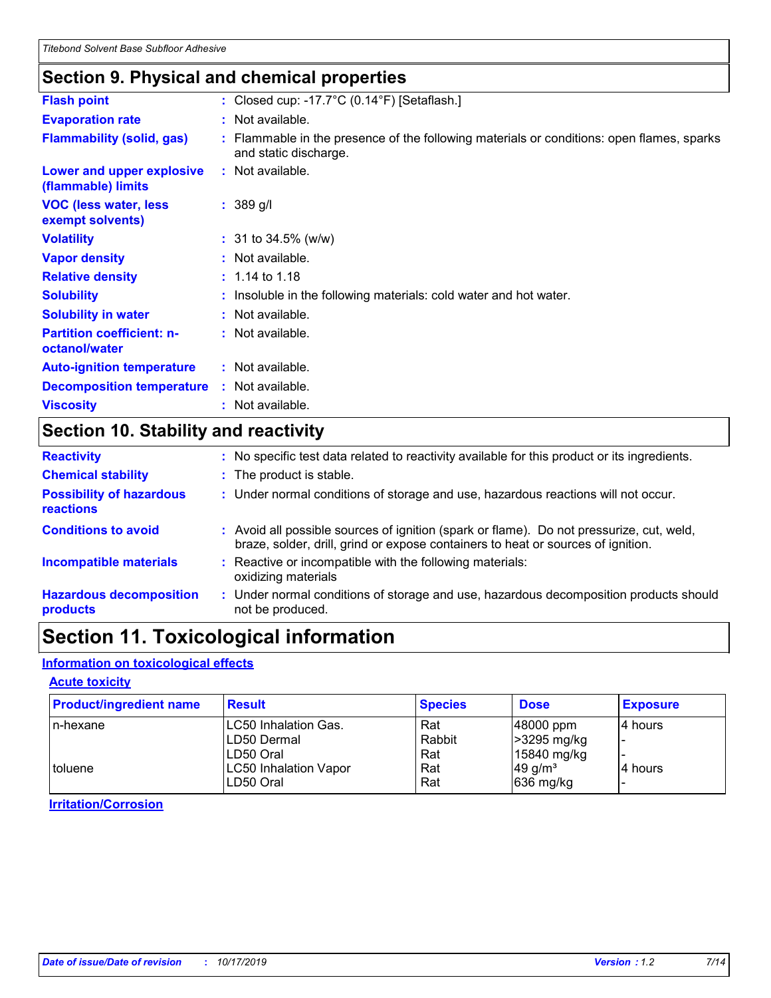### **Section 9. Physical and chemical properties**

| <b>Flash point</b>                                | : Closed cup: -17.7 $\degree$ C (0.14 $\degree$ F) [Setaflash.]                                                    |
|---------------------------------------------------|--------------------------------------------------------------------------------------------------------------------|
| <b>Evaporation rate</b>                           | : Not available.                                                                                                   |
| <b>Flammability (solid, gas)</b>                  | : Flammable in the presence of the following materials or conditions: open flames, sparks<br>and static discharge. |
| Lower and upper explosive<br>(flammable) limits   | : Not available.                                                                                                   |
| <b>VOC (less water, less)</b><br>exempt solvents) | $: 389$ g/l                                                                                                        |
| <b>Volatility</b>                                 | $: 31$ to 34.5% (w/w)                                                                                              |
| <b>Vapor density</b>                              | : Not available.                                                                                                   |
| <b>Relative density</b>                           | $: 1.14$ to 1.18                                                                                                   |
| <b>Solubility</b>                                 | : Insoluble in the following materials: cold water and hot water.                                                  |
| <b>Solubility in water</b>                        | : Not available.                                                                                                   |
| <b>Partition coefficient: n-</b><br>octanol/water | : Not available.                                                                                                   |
| <b>Auto-ignition temperature</b>                  | : Not available.                                                                                                   |
| <b>Decomposition temperature</b>                  | : Not available.                                                                                                   |
| <b>Viscosity</b>                                  | : Not available.                                                                                                   |

## **Section 10. Stability and reactivity**

| <b>Reactivity</b>                            |    | : No specific test data related to reactivity available for this product or its ingredients.                                                                                 |
|----------------------------------------------|----|------------------------------------------------------------------------------------------------------------------------------------------------------------------------------|
| <b>Chemical stability</b>                    |    | : The product is stable.                                                                                                                                                     |
| <b>Possibility of hazardous</b><br>reactions |    | : Under normal conditions of storage and use, hazardous reactions will not occur.                                                                                            |
| <b>Conditions to avoid</b>                   |    | : Avoid all possible sources of ignition (spark or flame). Do not pressurize, cut, weld,<br>braze, solder, drill, grind or expose containers to heat or sources of ignition. |
| <b>Incompatible materials</b>                |    | Reactive or incompatible with the following materials:<br>oxidizing materials                                                                                                |
| <b>Hazardous decomposition</b><br>products   | ÷. | Under normal conditions of storage and use, hazardous decomposition products should<br>not be produced.                                                                      |

# **Section 11. Toxicological information**

#### **Information on toxicological effects**

#### **Acute toxicity**

| <b>Product/ingredient name</b> | <b>Result</b>                | <b>Species</b> | <b>Dose</b>           | <b>Exposure</b> |
|--------------------------------|------------------------------|----------------|-----------------------|-----------------|
| l n-hexane                     | <b>LC50 Inhalation Gas.</b>  | Rat            | $ 48000$ ppm          | 4 hours         |
|                                | LD50 Dermal                  | Rabbit         | >3295 mg/kg           |                 |
|                                | ILD50 Oral                   | Rat            | 15840 mg/kg           |                 |
| toluene                        | <b>LC50 Inhalation Vapor</b> | Rat            | $49$ g/m <sup>3</sup> | l4 hours        |
|                                | LD50 Oral                    | Rat            | $ 636 \text{ mg/kg} $ |                 |

**Irritation/Corrosion**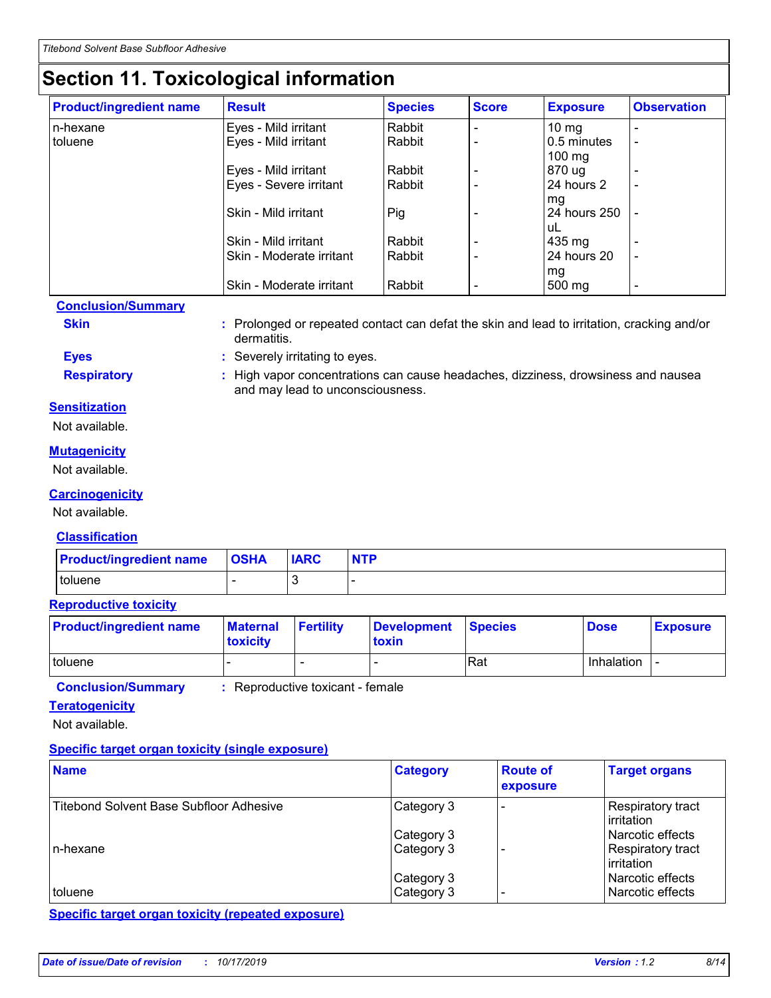# **Section 11. Toxicological information**

| <b>Product/ingredient name</b> | <b>Result</b>            | <b>Species</b> | <b>Score</b> | <b>Exposure</b>  | <b>Observation</b>       |
|--------------------------------|--------------------------|----------------|--------------|------------------|--------------------------|
| In-hexane                      | Eyes - Mild irritant     | Rabbit         |              | $10 \text{ mg}$  |                          |
| toluene                        | Eyes - Mild irritant     | Rabbit         |              | 0.5 minutes      | $\overline{\phantom{0}}$ |
|                                |                          |                |              | $100 \text{ mg}$ |                          |
|                                | Eyes - Mild irritant     | Rabbit         |              | 870 ug           |                          |
|                                | Eyes - Severe irritant   | Rabbit         |              | 24 hours 2       | $\overline{\phantom{0}}$ |
|                                |                          |                |              | mg               |                          |
|                                | Skin - Mild irritant     | Pig            |              | 24 hours 250     |                          |
|                                |                          |                |              | uL               |                          |
|                                | Skin - Mild irritant     | Rabbit         |              | 435 mg           |                          |
|                                | Skin - Moderate irritant | Rabbit         |              | 24 hours 20      | $\overline{\phantom{0}}$ |
|                                |                          |                |              | mg               |                          |
|                                | Skin - Moderate irritant | Rabbit         |              | 500 mg           | $\overline{\phantom{0}}$ |

#### **Conclusion/Summary**

**Skin Example 3 :** Prolonged or repeated contact can defat the skin and lead to irritation, cracking and/or

**Eyes :** Severely irritating to eyes.

dermatitis.

**Respiratory :** High vapor concentrations can cause headaches, dizziness, drowsiness and nausea and may lead to unconsciousness.

#### **Sensitization**

Not available.

#### **Mutagenicity**

Not available.

#### **Carcinogenicity**

Not available.

#### **Classification**

| <b>Product/ingredient name</b> | <b>OSHA</b> | <b>IARC</b> | <b>NTP</b> |
|--------------------------------|-------------|-------------|------------|
| toluene                        |             |             |            |

#### **Reproductive toxicity**

| <b>Product/ingredient name</b> | <b>Maternal</b><br><b>toxicity</b> | <b>Fertility</b> | Development Species<br>toxin |     | <b>Dose</b>       | <b>Exposure</b> |
|--------------------------------|------------------------------------|------------------|------------------------------|-----|-------------------|-----------------|
| toluene                        |                                    |                  |                              | Rat | <b>Inhalation</b> |                 |

**Conclusion/Summary :** Reproductive toxicant - female

### **Teratogenicity**

Not available.

#### **Specific target organ toxicity (single exposure)**

| <b>Name</b>                                    | <b>Category</b>          | <b>Route of</b><br>exposure | <b>Target organs</b>                   |
|------------------------------------------------|--------------------------|-----------------------------|----------------------------------------|
| <b>Titebond Solvent Base Subfloor Adhesive</b> | Category 3               |                             | Respiratory tract<br>l irritation      |
|                                                | Category 3               |                             | l Narcotic effects                     |
| In-hexane                                      | Category 3               |                             | Respiratory tract<br>l irritation      |
| toluene                                        | Category 3<br>Category 3 |                             | Narcotic effects<br>l Narcotic effects |

**Specific target organ toxicity (repeated exposure)**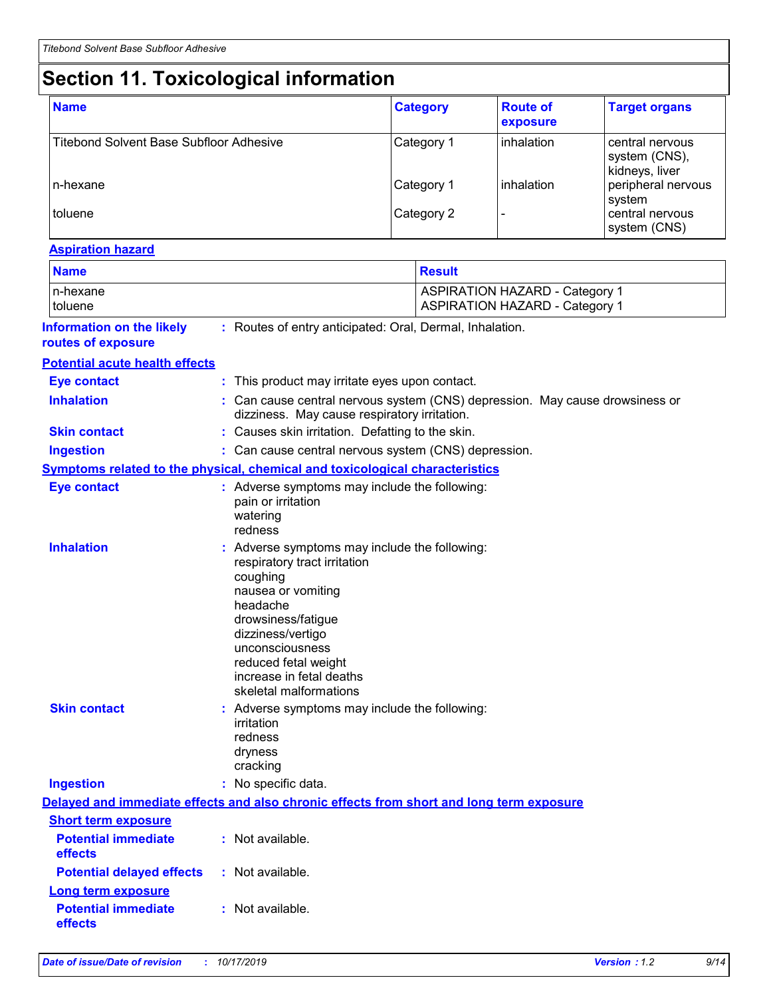# **Section 11. Toxicological information**

| <b>Name</b>                             | <b>Category</b> | <b>Route of</b><br>exposure | <b>Target organs</b>                               |
|-----------------------------------------|-----------------|-----------------------------|----------------------------------------------------|
| Titebond Solvent Base Subfloor Adhesive | Category 1      | inhalation                  | central nervous<br>system (CNS),<br>kidneys, liver |
| n-hexane                                | Category 1      | inhalation                  | peripheral nervous<br>system                       |
| toluene                                 | Category 2      |                             | central nervous<br>system (CNS)                    |

#### **Aspiration hazard**

| <b>Name</b>                                                 |                                                                                                                                                                                                                                                                         | <b>Result</b>                                                                            |  |  |  |
|-------------------------------------------------------------|-------------------------------------------------------------------------------------------------------------------------------------------------------------------------------------------------------------------------------------------------------------------------|------------------------------------------------------------------------------------------|--|--|--|
| n-hexane<br>toluene                                         |                                                                                                                                                                                                                                                                         | <b>ASPIRATION HAZARD - Category 1</b><br><b>ASPIRATION HAZARD - Category 1</b>           |  |  |  |
| <b>Information on the likely</b><br>routes of exposure      | : Routes of entry anticipated: Oral, Dermal, Inhalation.                                                                                                                                                                                                                |                                                                                          |  |  |  |
| <b>Potential acute health effects</b>                       |                                                                                                                                                                                                                                                                         |                                                                                          |  |  |  |
| <b>Eye contact</b>                                          | : This product may irritate eyes upon contact.                                                                                                                                                                                                                          |                                                                                          |  |  |  |
| <b>Inhalation</b>                                           | : Can cause central nervous system (CNS) depression. May cause drowsiness or<br>dizziness. May cause respiratory irritation.                                                                                                                                            |                                                                                          |  |  |  |
| <b>Skin contact</b>                                         | : Causes skin irritation. Defatting to the skin.                                                                                                                                                                                                                        |                                                                                          |  |  |  |
| <b>Ingestion</b>                                            |                                                                                                                                                                                                                                                                         | : Can cause central nervous system (CNS) depression.                                     |  |  |  |
|                                                             | Symptoms related to the physical, chemical and toxicological characteristics                                                                                                                                                                                            |                                                                                          |  |  |  |
| <b>Eye contact</b>                                          | : Adverse symptoms may include the following:<br>pain or irritation<br>watering<br>redness                                                                                                                                                                              |                                                                                          |  |  |  |
| <b>Inhalation</b>                                           | : Adverse symptoms may include the following:<br>respiratory tract irritation<br>coughing<br>nausea or vomiting<br>headache<br>drowsiness/fatigue<br>dizziness/vertigo<br>unconsciousness<br>reduced fetal weight<br>increase in fetal deaths<br>skeletal malformations |                                                                                          |  |  |  |
| <b>Skin contact</b>                                         | : Adverse symptoms may include the following:<br>irritation<br>redness<br>dryness<br>cracking                                                                                                                                                                           |                                                                                          |  |  |  |
| <b>Ingestion</b>                                            | : No specific data.                                                                                                                                                                                                                                                     |                                                                                          |  |  |  |
|                                                             |                                                                                                                                                                                                                                                                         | Delayed and immediate effects and also chronic effects from short and long term exposure |  |  |  |
| <b>Short term exposure</b>                                  |                                                                                                                                                                                                                                                                         |                                                                                          |  |  |  |
| <b>Potential immediate</b><br>effects                       | : Not available.                                                                                                                                                                                                                                                        |                                                                                          |  |  |  |
| <b>Potential delayed effects</b>                            | : Not available.                                                                                                                                                                                                                                                        |                                                                                          |  |  |  |
| Long term exposure<br><b>Potential immediate</b><br>effects | : Not available.                                                                                                                                                                                                                                                        |                                                                                          |  |  |  |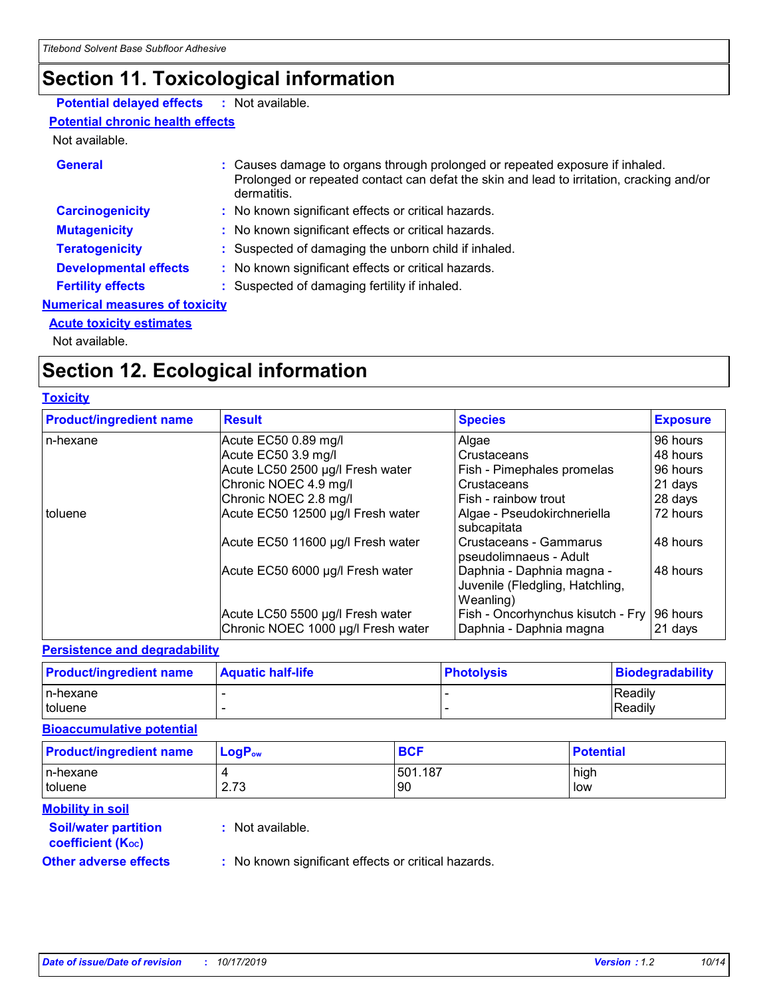# **Section 11. Toxicological information**

#### **Potential delayed effects :** Not available.

#### **Potential chronic health effects**

#### Not available.

| <b>General</b>                        | : Causes damage to organs through prolonged or repeated exposure if inhaled.<br>Prolonged or repeated contact can defat the skin and lead to irritation, cracking and/or<br>dermatitis. |
|---------------------------------------|-----------------------------------------------------------------------------------------------------------------------------------------------------------------------------------------|
|                                       |                                                                                                                                                                                         |
| <b>Carcinogenicity</b>                | : No known significant effects or critical hazards.                                                                                                                                     |
| <b>Mutagenicity</b>                   | : No known significant effects or critical hazards.                                                                                                                                     |
| <b>Teratogenicity</b>                 | : Suspected of damaging the unborn child if inhaled.                                                                                                                                    |
| <b>Developmental effects</b>          | : No known significant effects or critical hazards.                                                                                                                                     |
| <b>Fertility effects</b>              | : Suspected of damaging fertility if inhaled.                                                                                                                                           |
| <b>Numerical measures of toxicity</b> |                                                                                                                                                                                         |
| <b>Acute toxicity estimates</b>       |                                                                                                                                                                                         |

Not available.

# **Section 12. Ecological information**

#### **Toxicity**

| <b>Product/ingredient name</b> | <b>Result</b>                                                          | <b>Species</b>                                                            | <b>Exposure</b>     |
|--------------------------------|------------------------------------------------------------------------|---------------------------------------------------------------------------|---------------------|
| n-hexane                       | Acute EC50 0.89 mg/l                                                   | Algae                                                                     | 96 hours            |
|                                | Acute EC50 3.9 mg/l                                                    | Crustaceans                                                               | 48 hours            |
|                                | Acute LC50 2500 µg/l Fresh water                                       | Fish - Pimephales promelas                                                | 96 hours            |
|                                | Chronic NOEC 4.9 mg/l                                                  | Crustaceans                                                               | 21 days             |
|                                | Chronic NOEC 2.8 mg/l                                                  | Fish - rainbow trout                                                      | 28 days             |
| toluene                        | Acute EC50 12500 µg/l Fresh water                                      | Algae - Pseudokirchneriella<br>subcapitata                                | 72 hours            |
|                                | Acute EC50 11600 µg/l Fresh water                                      | Crustaceans - Gammarus<br>pseudolimnaeus - Adult                          | 48 hours            |
|                                | Acute EC50 6000 µg/l Fresh water                                       | Daphnia - Daphnia magna -<br>Juvenile (Fledgling, Hatchling,<br>Weanling) | 48 hours            |
|                                | Acute LC50 5500 µg/l Fresh water<br>Chronic NOEC 1000 µg/l Fresh water | Fish - Oncorhynchus kisutch - Fry<br>Daphnia - Daphnia magna              | 96 hours<br>21 days |

#### **Persistence and degradability**

| <b>Product/ingredient name</b> | <b>Aquatic half-life</b> | <b>Photolysis</b> | Biodegradability |
|--------------------------------|--------------------------|-------------------|------------------|
| In-hexane                      |                          |                   | <b>Readily</b>   |
| toluene                        |                          |                   | Readily          |

#### **Bioaccumulative potential**

| <b>Product/ingredient name</b> | $LogP_{ow}$ | <b>BCF</b>    | <b>Potential</b> |
|--------------------------------|-------------|---------------|------------------|
| In-hexane<br><i>I</i> toluene  | 2.73        | 501.187<br>90 | high<br>low      |
| <b>Mobility in soil</b>        |             |               |                  |

#### **Soil/water partition coefficient (K**<sub>oc</sub>) **:** Not available.

**Other adverse effects** : No known significant effects or critical hazards.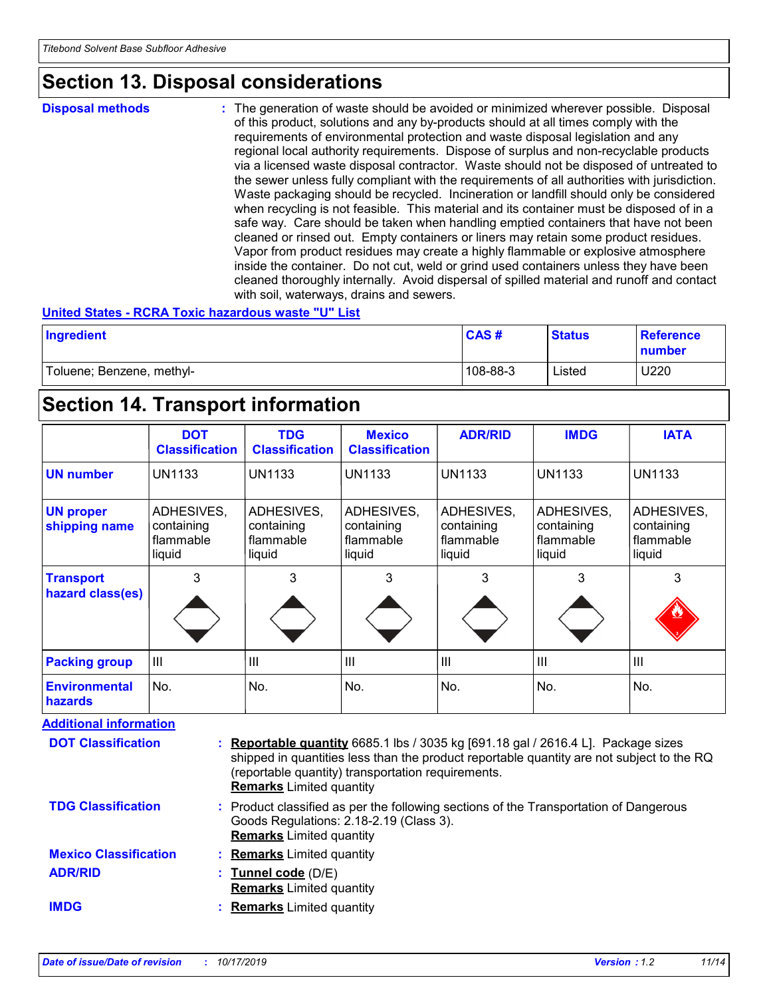### **Section 13. Disposal considerations**

#### **Disposal methods :**

The generation of waste should be avoided or minimized wherever possible. Disposal of this product, solutions and any by-products should at all times comply with the requirements of environmental protection and waste disposal legislation and any regional local authority requirements. Dispose of surplus and non-recyclable products via a licensed waste disposal contractor. Waste should not be disposed of untreated to the sewer unless fully compliant with the requirements of all authorities with jurisdiction. Waste packaging should be recycled. Incineration or landfill should only be considered when recycling is not feasible. This material and its container must be disposed of in a safe way. Care should be taken when handling emptied containers that have not been cleaned or rinsed out. Empty containers or liners may retain some product residues. Vapor from product residues may create a highly flammable or explosive atmosphere inside the container. Do not cut, weld or grind used containers unless they have been cleaned thoroughly internally. Avoid dispersal of spilled material and runoff and contact with soil, waterways, drains and sewers.

#### **United States - RCRA Toxic hazardous waste "U" List**

| Ingredient                | <b>CAS#</b> | <b>Status</b> | <b>Reference</b><br>number |
|---------------------------|-------------|---------------|----------------------------|
| Toluene; Benzene, methyl- | 108-88-3    | Listed        | U220                       |

### **Section 14. Transport information**

|                                        | <b>DOT</b><br><b>Classification</b>             | <b>TDG</b><br><b>Classification</b>             | <b>Mexico</b><br><b>Classification</b>          | <b>ADR/RID</b>                                  | <b>IMDG</b>                                     | <b>IATA</b>                                     |
|----------------------------------------|-------------------------------------------------|-------------------------------------------------|-------------------------------------------------|-------------------------------------------------|-------------------------------------------------|-------------------------------------------------|
| <b>UN number</b>                       | <b>UN1133</b>                                   | <b>UN1133</b>                                   | <b>UN1133</b>                                   | <b>UN1133</b>                                   | <b>UN1133</b>                                   | <b>UN1133</b>                                   |
| <b>UN proper</b><br>shipping name      | ADHESIVES,<br>containing<br>flammable<br>liquid | ADHESIVES,<br>containing<br>flammable<br>liquid | ADHESIVES,<br>containing<br>flammable<br>liquid | ADHESIVES,<br>containing<br>flammable<br>liquid | ADHESIVES,<br>containing<br>flammable<br>liquid | ADHESIVES,<br>containing<br>flammable<br>liquid |
| <b>Transport</b><br>hazard class(es)   | 3                                               | 3                                               | 3                                               | 3                                               | 3                                               | 3                                               |
| <b>Packing group</b>                   | III                                             | III                                             | III                                             | Ш                                               | $\mathbf{III}$                                  | III                                             |
| <b>Environmental</b><br><b>hazards</b> | No.                                             | No.                                             | No.                                             | No.                                             | No.                                             | No.                                             |

**Additional information** 

| <b>DOT Classification</b>    | <b>: Reportable quantity</b> 6685.1 lbs / 3035 kg [691.18 gal / 2616.4 L]. Package sizes<br>shipped in quantities less than the product reportable quantity are not subject to the RQ<br>(reportable quantity) transportation requirements.<br><b>Remarks</b> Limited quantity |
|------------------------------|--------------------------------------------------------------------------------------------------------------------------------------------------------------------------------------------------------------------------------------------------------------------------------|
| <b>TDG Classification</b>    | : Product classified as per the following sections of the Transportation of Dangerous<br>Goods Regulations: 2.18-2.19 (Class 3).<br><b>Remarks</b> Limited quantity                                                                                                            |
| <b>Mexico Classification</b> | : Remarks Limited quantity                                                                                                                                                                                                                                                     |
| <b>ADR/RID</b>               | : Tunnel code (D/E)<br><b>Remarks</b> Limited quantity                                                                                                                                                                                                                         |
| <b>IMDG</b>                  | <b>Remarks</b> Limited quantity                                                                                                                                                                                                                                                |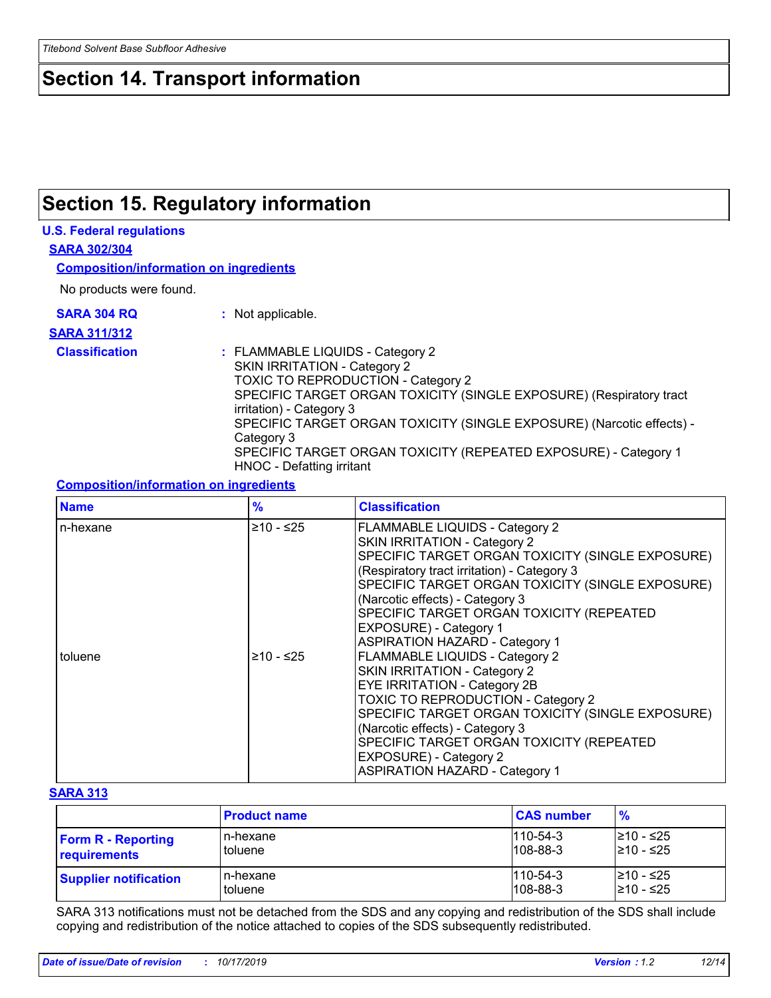## **Section 14. Transport information**

## **Section 15. Regulatory information**

#### **U.S. Federal regulations**

**SARA 302/304**

**Composition/information on ingredients**

No products were found.

**SARA 304 RQ :** Not applicable.

#### **SARA 311/312**

**Classification :** FLAMMABLE LIQUIDS - Category 2 SKIN IRRITATION - Category 2 TOXIC TO REPRODUCTION - Category 2 SPECIFIC TARGET ORGAN TOXICITY (SINGLE EXPOSURE) (Respiratory tract irritation) - Category 3 SPECIFIC TARGET ORGAN TOXICITY (SINGLE EXPOSURE) (Narcotic effects) - Category 3 SPECIFIC TARGET ORGAN TOXICITY (REPEATED EXPOSURE) - Category 1 HNOC - Defatting irritant

#### **Composition/information on ingredients**

| <b>Name</b> | $\frac{9}{6}$ | <b>Classification</b>                            |
|-------------|---------------|--------------------------------------------------|
| n-hexane    | $≥10 - ≤25$   | <b>FLAMMABLE LIQUIDS - Category 2</b>            |
|             |               | SKIN IRRITATION - Category 2                     |
|             |               | SPECIFIC TARGET ORGAN TOXICITY (SINGLE EXPOSURE) |
|             |               | (Respiratory tract irritation) - Category 3      |
|             |               | SPECIFIC TARGET ORGAN TOXICITY (SINGLE EXPOSURE) |
|             |               | (Narcotic effects) - Category 3                  |
|             |               | <b>SPECIFIC TARGET ORGAN TOXICITY (REPEATED)</b> |
|             |               | EXPOSURE) - Category 1                           |
|             |               | <b>ASPIRATION HAZARD - Category 1</b>            |
| toluene     | $≥10 - ≤25$   | FLAMMABLE LIQUIDS - Category 2                   |
|             |               | SKIN IRRITATION - Category 2                     |
|             |               | <b>EYE IRRITATION - Category 2B</b>              |
|             |               | TOXIC TO REPRODUCTION - Category 2               |
|             |               | SPECIFIC TARGET ORGAN TOXICITY (SINGLE EXPOSURE) |
|             |               | (Narcotic effects) - Category 3                  |
|             |               | SPECIFIC TARGET ORGAN TOXICITY (REPEATED         |
|             |               | EXPOSURE) - Category 2                           |
|             |               | <b>ASPIRATION HAZARD - Category 1</b>            |

#### **SARA 313**

|                              | <b>Product name</b> | <b>CAS number</b> | $\frac{9}{6}$ |
|------------------------------|---------------------|-------------------|---------------|
| <b>Form R - Reporting</b>    | n-hexane            | $1110 - 54 - 3$   | l≥10 - ≤25    |
| requirements                 | toluene             | $108 - 88 - 3$    | 210 - ≤25     |
| <b>Supplier notification</b> | n-hexane            | $1110 - 54 - 3$   | l≥10 - ≤25    |
|                              | toluene             | $108 - 88 - 3$    | 210 - ≤25     |

SARA 313 notifications must not be detached from the SDS and any copying and redistribution of the SDS shall include copying and redistribution of the notice attached to copies of the SDS subsequently redistributed.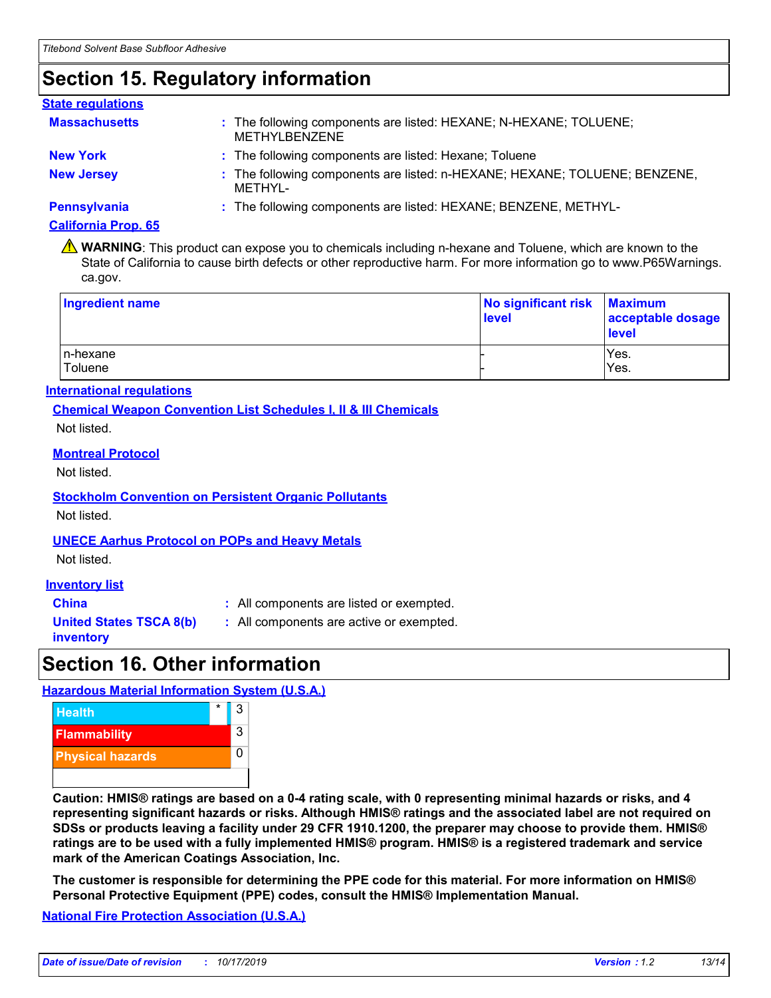# **Section 15. Regulatory information**

#### : The following components are listed: HEXANE; N-HEXANE; TOLUENE; METHYLBENZENE **Massachusetts : New York :** The following components are listed: Hexane; Toluene **New Jersey :** The following components are listed: n-HEXANE; HEXANE; TOLUENE; BENZENE, METHYL-**Pennsylvania :** The following components are listed: HEXANE; BENZENE, METHYL-**State regulations**

#### **California Prop. 65**

**A** WARNING: This product can expose you to chemicals including n-hexane and Toluene, which are known to the State of California to cause birth defects or other reproductive harm. For more information go to www.P65Warnings. ca.gov.

| Ingredient name      | No significant risk<br>level | <b>Maximum</b><br>acceptable dosage<br><b>level</b> |
|----------------------|------------------------------|-----------------------------------------------------|
| In-hexane<br>Toluene |                              | Yes.<br>Yes.                                        |

#### **International regulations**

**Chemical Weapon Convention List Schedules I, II & III Chemicals**

Not listed.

#### **Montreal Protocol**

Not listed.

**Stockholm Convention on Persistent Organic Pollutants** Not listed.

#### **UNECE Aarhus Protocol on POPs and Heavy Metals**

Not listed.

#### **Inventory list**

**China :** All components are listed or exempted.

**United States TSCA 8(b)**

**inventory**

**:** All components are active or exempted.

### **Section 16. Other information**

#### **Hazardous Material Information System (U.S.A.)**



**Caution: HMIS® ratings are based on a 0-4 rating scale, with 0 representing minimal hazards or risks, and 4 representing significant hazards or risks. Although HMIS® ratings and the associated label are not required on SDSs or products leaving a facility under 29 CFR 1910.1200, the preparer may choose to provide them. HMIS® ratings are to be used with a fully implemented HMIS® program. HMIS® is a registered trademark and service mark of the American Coatings Association, Inc.**

**The customer is responsible for determining the PPE code for this material. For more information on HMIS® Personal Protective Equipment (PPE) codes, consult the HMIS® Implementation Manual.**

**National Fire Protection Association (U.S.A.)**